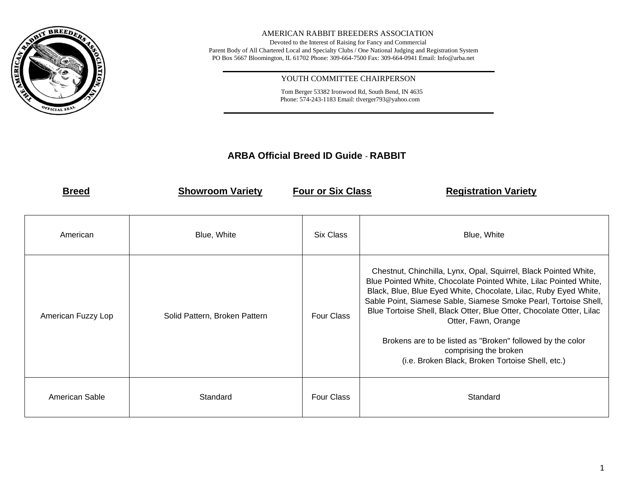

## AMERICAN RABBIT BREEDERS ASSOCIATION

Devoted to the Interest of Raising for Fancy and Commercial Parent Body of All Chartered Local and Specialty Clubs / One National Judging and Registration System PO Box 5667 Bloomington, IL 61702 Phone: 309-664-7500 Fax: 309-664-0941 Email: Info@arba.net

## YOUTH COMMITTEE CHAIRPERSON

 Tom Berger 53382 Ironwood Rd, South Bend, IN 4635 Phone: 574-243-1183 Email: tlverger793@yahoo.com

## **ARBA Official Breed ID Guide** - **RABBIT**

**Breed Registration Variety Providence** *Four or Six Class* **Registration Variety** 

| American           | Blue, White                   | Six Class         | Blue, White                                                                                                                                                                                                                                                                                                                                                                                                                                                                                                             |
|--------------------|-------------------------------|-------------------|-------------------------------------------------------------------------------------------------------------------------------------------------------------------------------------------------------------------------------------------------------------------------------------------------------------------------------------------------------------------------------------------------------------------------------------------------------------------------------------------------------------------------|
| American Fuzzy Lop | Solid Pattern, Broken Pattern | <b>Four Class</b> | Chestnut, Chinchilla, Lynx, Opal, Squirrel, Black Pointed White,<br>Blue Pointed White, Chocolate Pointed White, Lilac Pointed White,<br>Black, Blue, Blue Eyed White, Chocolate, Lilac, Ruby Eyed White,<br>Sable Point, Siamese Sable, Siamese Smoke Pearl, Tortoise Shell,<br>Blue Tortoise Shell, Black Otter, Blue Otter, Chocolate Otter, Lilac<br>Otter, Fawn, Orange<br>Brokens are to be listed as "Broken" followed by the color<br>comprising the broken<br>(i.e. Broken Black, Broken Tortoise Shell, etc.) |
| American Sable     | Standard                      | <b>Four Class</b> | Standard                                                                                                                                                                                                                                                                                                                                                                                                                                                                                                                |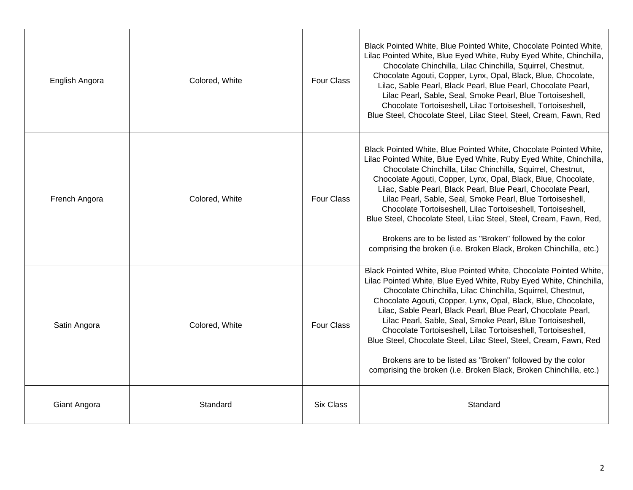| English Angora | Colored, White | <b>Four Class</b> | Black Pointed White, Blue Pointed White, Chocolate Pointed White,<br>Lilac Pointed White, Blue Eyed White, Ruby Eyed White, Chinchilla,<br>Chocolate Chinchilla, Lilac Chinchilla, Squirrel, Chestnut,<br>Chocolate Agouti, Copper, Lynx, Opal, Black, Blue, Chocolate,<br>Lilac, Sable Pearl, Black Pearl, Blue Pearl, Chocolate Pearl,<br>Lilac Pearl, Sable, Seal, Smoke Pearl, Blue Tortoiseshell,<br>Chocolate Tortoiseshell, Lilac Tortoiseshell, Tortoiseshell,<br>Blue Steel, Chocolate Steel, Lilac Steel, Steel, Cream, Fawn, Red                                                                                                                                      |
|----------------|----------------|-------------------|----------------------------------------------------------------------------------------------------------------------------------------------------------------------------------------------------------------------------------------------------------------------------------------------------------------------------------------------------------------------------------------------------------------------------------------------------------------------------------------------------------------------------------------------------------------------------------------------------------------------------------------------------------------------------------|
| French Angora  | Colored, White | <b>Four Class</b> | Black Pointed White, Blue Pointed White, Chocolate Pointed White,<br>Lilac Pointed White, Blue Eyed White, Ruby Eyed White, Chinchilla,<br>Chocolate Chinchilla, Lilac Chinchilla, Squirrel, Chestnut,<br>Chocolate Agouti, Copper, Lynx, Opal, Black, Blue, Chocolate,<br>Lilac, Sable Pearl, Black Pearl, Blue Pearl, Chocolate Pearl,<br>Lilac Pearl, Sable, Seal, Smoke Pearl, Blue Tortoiseshell,<br>Chocolate Tortoiseshell, Lilac Tortoiseshell, Tortoiseshell,<br>Blue Steel, Chocolate Steel, Lilac Steel, Steel, Cream, Fawn, Red,<br>Brokens are to be listed as "Broken" followed by the color<br>comprising the broken (i.e. Broken Black, Broken Chinchilla, etc.) |
| Satin Angora   | Colored, White | <b>Four Class</b> | Black Pointed White, Blue Pointed White, Chocolate Pointed White,<br>Lilac Pointed White, Blue Eyed White, Ruby Eyed White, Chinchilla,<br>Chocolate Chinchilla, Lilac Chinchilla, Squirrel, Chestnut,<br>Chocolate Agouti, Copper, Lynx, Opal, Black, Blue, Chocolate,<br>Lilac, Sable Pearl, Black Pearl, Blue Pearl, Chocolate Pearl,<br>Lilac Pearl, Sable, Seal, Smoke Pearl, Blue Tortoiseshell,<br>Chocolate Tortoiseshell, Lilac Tortoiseshell, Tortoiseshell,<br>Blue Steel, Chocolate Steel, Lilac Steel, Steel, Cream, Fawn, Red<br>Brokens are to be listed as "Broken" followed by the color<br>comprising the broken (i.e. Broken Black, Broken Chinchilla, etc.)  |
| Giant Angora   | Standard       | <b>Six Class</b>  | Standard                                                                                                                                                                                                                                                                                                                                                                                                                                                                                                                                                                                                                                                                         |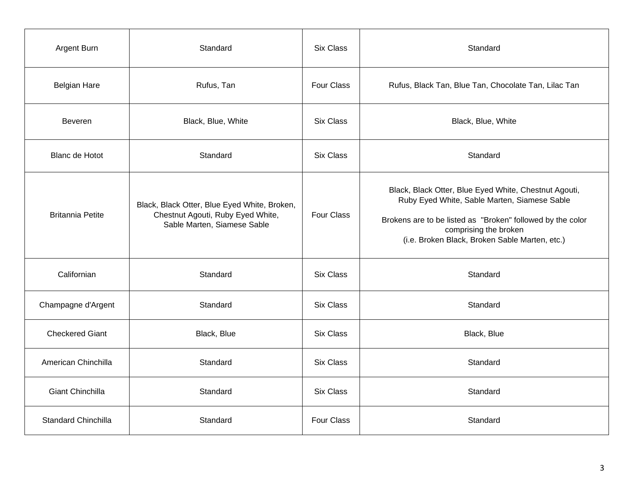| Argent Burn                | Standard                                                                                                         | <b>Six Class</b>  | Standard                                                                                                                                                                                                                                       |
|----------------------------|------------------------------------------------------------------------------------------------------------------|-------------------|------------------------------------------------------------------------------------------------------------------------------------------------------------------------------------------------------------------------------------------------|
| <b>Belgian Hare</b>        | Rufus, Tan                                                                                                       | <b>Four Class</b> | Rufus, Black Tan, Blue Tan, Chocolate Tan, Lilac Tan                                                                                                                                                                                           |
| Beveren                    | Black, Blue, White                                                                                               | <b>Six Class</b>  | Black, Blue, White                                                                                                                                                                                                                             |
| <b>Blanc de Hotot</b>      | Standard                                                                                                         | <b>Six Class</b>  | Standard                                                                                                                                                                                                                                       |
| <b>Britannia Petite</b>    | Black, Black Otter, Blue Eyed White, Broken,<br>Chestnut Agouti, Ruby Eyed White,<br>Sable Marten, Siamese Sable | Four Class        | Black, Black Otter, Blue Eyed White, Chestnut Agouti,<br>Ruby Eyed White, Sable Marten, Siamese Sable<br>Brokens are to be listed as "Broken" followed by the color<br>comprising the broken<br>(i.e. Broken Black, Broken Sable Marten, etc.) |
| Californian                | Standard                                                                                                         | <b>Six Class</b>  | Standard                                                                                                                                                                                                                                       |
| Champagne d'Argent         | Standard                                                                                                         | Six Class         | Standard                                                                                                                                                                                                                                       |
| <b>Checkered Giant</b>     | Black, Blue                                                                                                      | <b>Six Class</b>  | Black, Blue                                                                                                                                                                                                                                    |
| American Chinchilla        | Standard                                                                                                         | <b>Six Class</b>  | Standard                                                                                                                                                                                                                                       |
| Giant Chinchilla           | Standard                                                                                                         | <b>Six Class</b>  | Standard                                                                                                                                                                                                                                       |
| <b>Standard Chinchilla</b> | Standard                                                                                                         | Four Class        | Standard                                                                                                                                                                                                                                       |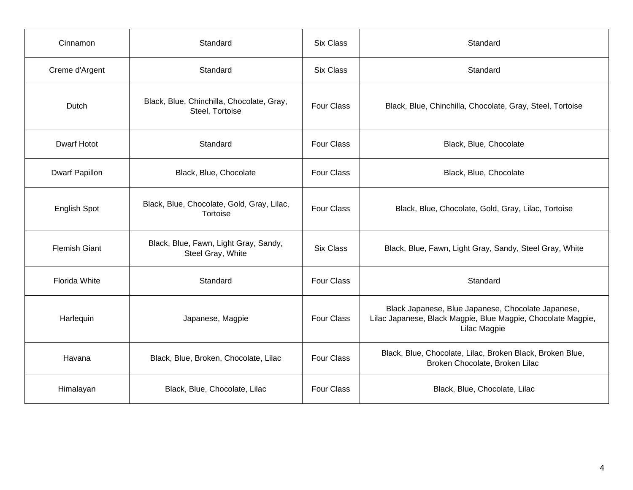| Cinnamon              | Standard                                                     | <b>Six Class</b>  | Standard                                                                                                                           |
|-----------------------|--------------------------------------------------------------|-------------------|------------------------------------------------------------------------------------------------------------------------------------|
| Creme d'Argent        | Standard                                                     | <b>Six Class</b>  | Standard                                                                                                                           |
| Dutch                 | Black, Blue, Chinchilla, Chocolate, Gray,<br>Steel, Tortoise | <b>Four Class</b> | Black, Blue, Chinchilla, Chocolate, Gray, Steel, Tortoise                                                                          |
| <b>Dwarf Hotot</b>    | Standard                                                     | <b>Four Class</b> | Black, Blue, Chocolate                                                                                                             |
| <b>Dwarf Papillon</b> | Black, Blue, Chocolate                                       | <b>Four Class</b> | Black, Blue, Chocolate                                                                                                             |
| <b>English Spot</b>   | Black, Blue, Chocolate, Gold, Gray, Lilac,<br>Tortoise       | <b>Four Class</b> | Black, Blue, Chocolate, Gold, Gray, Lilac, Tortoise                                                                                |
| <b>Flemish Giant</b>  | Black, Blue, Fawn, Light Gray, Sandy,<br>Steel Gray, White   | Six Class         | Black, Blue, Fawn, Light Gray, Sandy, Steel Gray, White                                                                            |
| Florida White         | Standard                                                     | <b>Four Class</b> | Standard                                                                                                                           |
| Harlequin             | Japanese, Magpie                                             |                   | Black Japanese, Blue Japanese, Chocolate Japanese,<br>Lilac Japanese, Black Magpie, Blue Magpie, Chocolate Magpie,<br>Lilac Magpie |
| Havana                | Black, Blue, Broken, Chocolate, Lilac                        | Four Class        | Black, Blue, Chocolate, Lilac, Broken Black, Broken Blue,<br>Broken Chocolate, Broken Lilac                                        |
| Himalayan             | Black, Blue, Chocolate, Lilac                                | <b>Four Class</b> | Black, Blue, Chocolate, Lilac                                                                                                      |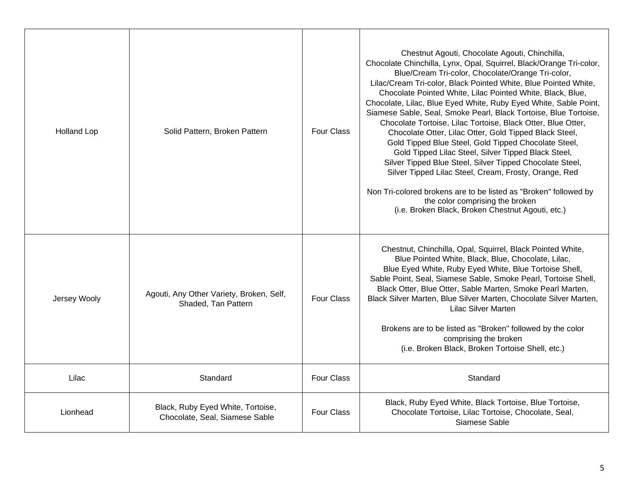| <b>Holland Lop</b> | Solid Pattern, Broken Pattern                                       | <b>Four Class</b> | Chestnut Agouti, Chocolate Agouti, Chinchilla,<br>Chocolate Chinchilla, Lynx, Opal, Squirrel, Black/Orange Tri-color,<br>Blue/Cream Tri-color, Chocolate/Orange Tri-color,<br>Lilac/Cream Tri-color, Black Pointed White, Blue Pointed White,<br>Chocolate Pointed White, Lilac Pointed White, Black, Blue,<br>Chocolate, Lilac, Blue Eyed White, Ruby Eyed White, Sable Point,<br>Siamese Sable, Seal, Smoke Pearl, Black Tortoise, Blue Tortoise,<br>Chocolate Tortoise, Lilac Tortoise, Black Otter, Blue Otter,<br>Chocolate Otter, Lilac Otter, Gold Tipped Black Steel,<br>Gold Tipped Blue Steel, Gold Tipped Chocolate Steel,<br>Gold Tipped Lilac Steel, Silver Tipped Black Steel,<br>Silver Tipped Blue Steel, Silver Tipped Chocolate Steel,<br>Silver Tipped Lilac Steel, Cream, Frosty, Orange, Red<br>Non Tri-colored brokens are to be listed as "Broken" followed by<br>the color comprising the broken<br>(i.e. Broken Black, Broken Chestnut Agouti, etc.) |
|--------------------|---------------------------------------------------------------------|-------------------|-------------------------------------------------------------------------------------------------------------------------------------------------------------------------------------------------------------------------------------------------------------------------------------------------------------------------------------------------------------------------------------------------------------------------------------------------------------------------------------------------------------------------------------------------------------------------------------------------------------------------------------------------------------------------------------------------------------------------------------------------------------------------------------------------------------------------------------------------------------------------------------------------------------------------------------------------------------------------------|
| Jersey Wooly       | Agouti, Any Other Variety, Broken, Self,<br>Shaded, Tan Pattern     | <b>Four Class</b> | Chestnut, Chinchilla, Opal, Squirrel, Black Pointed White,<br>Blue Pointed White, Black, Blue, Chocolate, Lilac,<br>Blue Eyed White, Ruby Eyed White, Blue Tortoise Shell,<br>Sable Point, Seal, Siamese Sable, Smoke Pearl, Tortoise Shell,<br>Black Otter, Blue Otter, Sable Marten, Smoke Pearl Marten,<br>Black Silver Marten, Blue Silver Marten, Chocolate Silver Marten,<br><b>Lilac Silver Marten</b><br>Brokens are to be listed as "Broken" followed by the color<br>comprising the broken<br>(i.e. Broken Black, Broken Tortoise Shell, etc.)                                                                                                                                                                                                                                                                                                                                                                                                                      |
| Lilac              | Standard                                                            | <b>Four Class</b> | Standard                                                                                                                                                                                                                                                                                                                                                                                                                                                                                                                                                                                                                                                                                                                                                                                                                                                                                                                                                                      |
| Lionhead           | Black, Ruby Eyed White, Tortoise,<br>Chocolate, Seal, Siamese Sable | <b>Four Class</b> | Black, Ruby Eyed White, Black Tortoise, Blue Tortoise,<br>Chocolate Tortoise, Lilac Tortoise, Chocolate, Seal,<br>Siamese Sable                                                                                                                                                                                                                                                                                                                                                                                                                                                                                                                                                                                                                                                                                                                                                                                                                                               |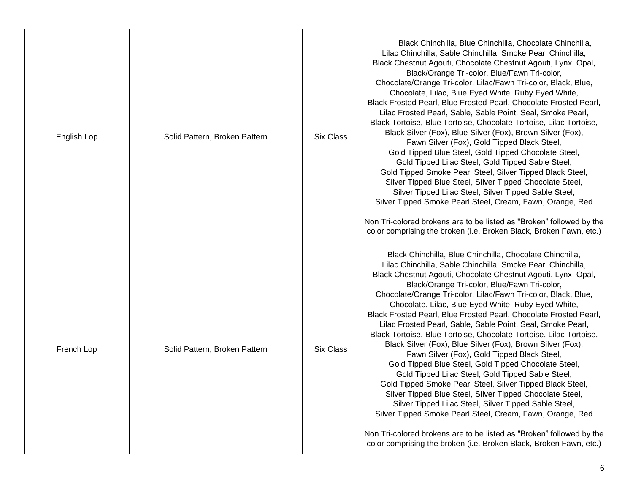| English Lop | Solid Pattern, Broken Pattern | Six Class | Black Chinchilla, Blue Chinchilla, Chocolate Chinchilla,<br>Lilac Chinchilla, Sable Chinchilla, Smoke Pearl Chinchilla,<br>Black Chestnut Agouti, Chocolate Chestnut Agouti, Lynx, Opal,<br>Black/Orange Tri-color, Blue/Fawn Tri-color,<br>Chocolate/Orange Tri-color, Lilac/Fawn Tri-color, Black, Blue,<br>Chocolate, Lilac, Blue Eyed White, Ruby Eyed White,<br>Black Frosted Pearl, Blue Frosted Pearl, Chocolate Frosted Pearl,<br>Lilac Frosted Pearl, Sable, Sable Point, Seal, Smoke Pearl,<br>Black Tortoise, Blue Tortoise, Chocolate Tortoise, Lilac Tortoise,<br>Black Silver (Fox), Blue Silver (Fox), Brown Silver (Fox),<br>Fawn Silver (Fox), Gold Tipped Black Steel,<br>Gold Tipped Blue Steel, Gold Tipped Chocolate Steel,<br>Gold Tipped Lilac Steel, Gold Tipped Sable Steel,<br>Gold Tipped Smoke Pearl Steel, Silver Tipped Black Steel,<br>Silver Tipped Blue Steel, Silver Tipped Chocolate Steel,<br>Silver Tipped Lilac Steel, Silver Tipped Sable Steel,<br>Silver Tipped Smoke Pearl Steel, Cream, Fawn, Orange, Red<br>Non Tri-colored brokens are to be listed as "Broken" followed by the<br>color comprising the broken (i.e. Broken Black, Broken Fawn, etc.) |
|-------------|-------------------------------|-----------|----------------------------------------------------------------------------------------------------------------------------------------------------------------------------------------------------------------------------------------------------------------------------------------------------------------------------------------------------------------------------------------------------------------------------------------------------------------------------------------------------------------------------------------------------------------------------------------------------------------------------------------------------------------------------------------------------------------------------------------------------------------------------------------------------------------------------------------------------------------------------------------------------------------------------------------------------------------------------------------------------------------------------------------------------------------------------------------------------------------------------------------------------------------------------------------------------|
| French Lop  | Solid Pattern, Broken Pattern | Six Class | Black Chinchilla, Blue Chinchilla, Chocolate Chinchilla,<br>Lilac Chinchilla, Sable Chinchilla, Smoke Pearl Chinchilla,<br>Black Chestnut Agouti, Chocolate Chestnut Agouti, Lynx, Opal,<br>Black/Orange Tri-color, Blue/Fawn Tri-color,<br>Chocolate/Orange Tri-color, Lilac/Fawn Tri-color, Black, Blue,<br>Chocolate, Lilac, Blue Eyed White, Ruby Eyed White,<br>Black Frosted Pearl, Blue Frosted Pearl, Chocolate Frosted Pearl,<br>Lilac Frosted Pearl, Sable, Sable Point, Seal, Smoke Pearl,<br>Black Tortoise, Blue Tortoise, Chocolate Tortoise, Lilac Tortoise,<br>Black Silver (Fox), Blue Silver (Fox), Brown Silver (Fox),<br>Fawn Silver (Fox), Gold Tipped Black Steel,<br>Gold Tipped Blue Steel, Gold Tipped Chocolate Steel,<br>Gold Tipped Lilac Steel, Gold Tipped Sable Steel,<br>Gold Tipped Smoke Pearl Steel, Silver Tipped Black Steel,<br>Silver Tipped Blue Steel, Silver Tipped Chocolate Steel,<br>Silver Tipped Lilac Steel, Silver Tipped Sable Steel,<br>Silver Tipped Smoke Pearl Steel, Cream, Fawn, Orange, Red<br>Non Tri-colored brokens are to be listed as "Broken" followed by the<br>color comprising the broken (i.e. Broken Black, Broken Fawn, etc.) |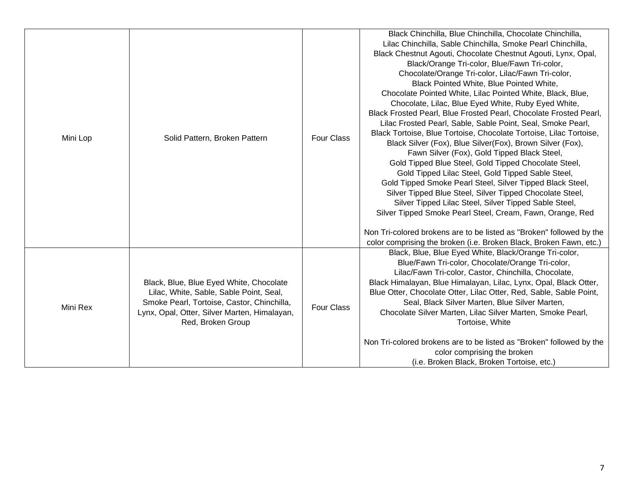| Mini Lop | Solid Pattern, Broken Pattern                                                                                                                                                                         | <b>Four Class</b> | Black Chinchilla, Blue Chinchilla, Chocolate Chinchilla,<br>Lilac Chinchilla, Sable Chinchilla, Smoke Pearl Chinchilla,<br>Black Chestnut Agouti, Chocolate Chestnut Agouti, Lynx, Opal,<br>Black/Orange Tri-color, Blue/Fawn Tri-color,<br>Chocolate/Orange Tri-color, Lilac/Fawn Tri-color,<br>Black Pointed White, Blue Pointed White,<br>Chocolate Pointed White, Lilac Pointed White, Black, Blue,<br>Chocolate, Lilac, Blue Eyed White, Ruby Eyed White,<br>Black Frosted Pearl, Blue Frosted Pearl, Chocolate Frosted Pearl,<br>Lilac Frosted Pearl, Sable, Sable Point, Seal, Smoke Pearl,<br>Black Tortoise, Blue Tortoise, Chocolate Tortoise, Lilac Tortoise,<br>Black Silver (Fox), Blue Silver(Fox), Brown Silver (Fox),<br>Fawn Silver (Fox), Gold Tipped Black Steel,<br>Gold Tipped Blue Steel, Gold Tipped Chocolate Steel,<br>Gold Tipped Lilac Steel, Gold Tipped Sable Steel,<br>Gold Tipped Smoke Pearl Steel, Silver Tipped Black Steel,<br>Silver Tipped Blue Steel, Silver Tipped Chocolate Steel,<br>Silver Tipped Lilac Steel, Silver Tipped Sable Steel,<br>Silver Tipped Smoke Pearl Steel, Cream, Fawn, Orange, Red<br>Non Tri-colored brokens are to be listed as "Broken" followed by the<br>color comprising the broken (i.e. Broken Black, Broken Fawn, etc.) |
|----------|-------------------------------------------------------------------------------------------------------------------------------------------------------------------------------------------------------|-------------------|------------------------------------------------------------------------------------------------------------------------------------------------------------------------------------------------------------------------------------------------------------------------------------------------------------------------------------------------------------------------------------------------------------------------------------------------------------------------------------------------------------------------------------------------------------------------------------------------------------------------------------------------------------------------------------------------------------------------------------------------------------------------------------------------------------------------------------------------------------------------------------------------------------------------------------------------------------------------------------------------------------------------------------------------------------------------------------------------------------------------------------------------------------------------------------------------------------------------------------------------------------------------------------------------|
| Mini Rex | Black, Blue, Blue Eyed White, Chocolate<br>Lilac, White, Sable, Sable Point, Seal,<br>Smoke Pearl, Tortoise, Castor, Chinchilla,<br>Lynx, Opal, Otter, Silver Marten, Himalayan,<br>Red, Broken Group | <b>Four Class</b> | Black, Blue, Blue Eyed White, Black/Orange Tri-color,<br>Blue/Fawn Tri-color, Chocolate/Orange Tri-color,<br>Lilac/Fawn Tri-color, Castor, Chinchilla, Chocolate,<br>Black Himalayan, Blue Himalayan, Lilac, Lynx, Opal, Black Otter,<br>Blue Otter, Chocolate Otter, Lilac Otter, Red, Sable, Sable Point,<br>Seal, Black Silver Marten, Blue Silver Marten,<br>Chocolate Silver Marten, Lilac Silver Marten, Smoke Pearl,<br>Tortoise, White<br>Non Tri-colored brokens are to be listed as "Broken" followed by the<br>color comprising the broken<br>(i.e. Broken Black, Broken Tortoise, etc.)                                                                                                                                                                                                                                                                                                                                                                                                                                                                                                                                                                                                                                                                                            |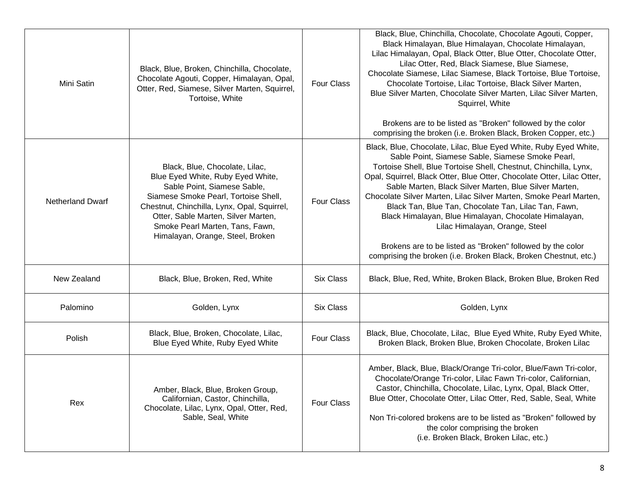| Mini Satin                                                                                                                                      | Black, Blue, Broken, Chinchilla, Chocolate,<br>Chocolate Agouti, Copper, Himalayan, Opal,<br>Otter, Red, Siamese, Silver Marten, Squirrel,<br>Tortoise, White                                                                                                                                           | <b>Four Class</b> | Black, Blue, Chinchilla, Chocolate, Chocolate Agouti, Copper,<br>Black Himalayan, Blue Himalayan, Chocolate Himalayan,<br>Lilac Himalayan, Opal, Black Otter, Blue Otter, Chocolate Otter,<br>Lilac Otter, Red, Black Siamese, Blue Siamese,<br>Chocolate Siamese, Lilac Siamese, Black Tortoise, Blue Tortoise,<br>Chocolate Tortoise, Lilac Tortoise, Black Silver Marten,<br>Blue Silver Marten, Chocolate Silver Marten, Lilac Silver Marten,<br>Squirrel, White<br>Brokens are to be listed as "Broken" followed by the color<br>comprising the broken (i.e. Broken Black, Broken Copper, etc.)                                                                                   |
|-------------------------------------------------------------------------------------------------------------------------------------------------|---------------------------------------------------------------------------------------------------------------------------------------------------------------------------------------------------------------------------------------------------------------------------------------------------------|-------------------|----------------------------------------------------------------------------------------------------------------------------------------------------------------------------------------------------------------------------------------------------------------------------------------------------------------------------------------------------------------------------------------------------------------------------------------------------------------------------------------------------------------------------------------------------------------------------------------------------------------------------------------------------------------------------------------|
| <b>Netherland Dwarf</b>                                                                                                                         | Black, Blue, Chocolate, Lilac,<br>Blue Eyed White, Ruby Eyed White,<br>Sable Point, Siamese Sable,<br>Siamese Smoke Pearl, Tortoise Shell,<br>Chestnut, Chinchilla, Lynx, Opal, Squirrel,<br>Otter, Sable Marten, Silver Marten,<br>Smoke Pearl Marten, Tans, Fawn,<br>Himalayan, Orange, Steel, Broken | <b>Four Class</b> | Black, Blue, Chocolate, Lilac, Blue Eyed White, Ruby Eyed White,<br>Sable Point, Siamese Sable, Siamese Smoke Pearl,<br>Tortoise Shell, Blue Tortoise Shell, Chestnut, Chinchilla, Lynx,<br>Opal, Squirrel, Black Otter, Blue Otter, Chocolate Otter, Lilac Otter,<br>Sable Marten, Black Silver Marten, Blue Silver Marten,<br>Chocolate Silver Marten, Lilac Silver Marten, Smoke Pearl Marten,<br>Black Tan, Blue Tan, Chocolate Tan, Lilac Tan, Fawn,<br>Black Himalayan, Blue Himalayan, Chocolate Himalayan,<br>Lilac Himalayan, Orange, Steel<br>Brokens are to be listed as "Broken" followed by the color<br>comprising the broken (i.e. Broken Black, Broken Chestnut, etc.) |
| New Zealand                                                                                                                                     | Black, Blue, Broken, Red, White                                                                                                                                                                                                                                                                         | <b>Six Class</b>  | Black, Blue, Red, White, Broken Black, Broken Blue, Broken Red                                                                                                                                                                                                                                                                                                                                                                                                                                                                                                                                                                                                                         |
| Palomino                                                                                                                                        | Golden, Lynx                                                                                                                                                                                                                                                                                            | <b>Six Class</b>  | Golden, Lynx                                                                                                                                                                                                                                                                                                                                                                                                                                                                                                                                                                                                                                                                           |
| Polish                                                                                                                                          | Black, Blue, Broken, Chocolate, Lilac,<br>Blue Eyed White, Ruby Eyed White                                                                                                                                                                                                                              | <b>Four Class</b> | Black, Blue, Chocolate, Lilac, Blue Eyed White, Ruby Eyed White,<br>Broken Black, Broken Blue, Broken Chocolate, Broken Lilac                                                                                                                                                                                                                                                                                                                                                                                                                                                                                                                                                          |
| Amber, Black, Blue, Broken Group,<br>Californian, Castor, Chinchilla,<br>Rex<br>Chocolate, Lilac, Lynx, Opal, Otter, Red,<br>Sable, Seal, White |                                                                                                                                                                                                                                                                                                         | <b>Four Class</b> | Amber, Black, Blue, Black/Orange Tri-color, Blue/Fawn Tri-color,<br>Chocolate/Orange Tri-color, Lilac Fawn Tri-color, Californian,<br>Castor, Chinchilla, Chocolate, Lilac, Lynx, Opal, Black Otter,<br>Blue Otter, Chocolate Otter, Lilac Otter, Red, Sable, Seal, White<br>Non Tri-colored brokens are to be listed as "Broken" followed by<br>the color comprising the broken<br>(i.e. Broken Black, Broken Lilac, etc.)                                                                                                                                                                                                                                                            |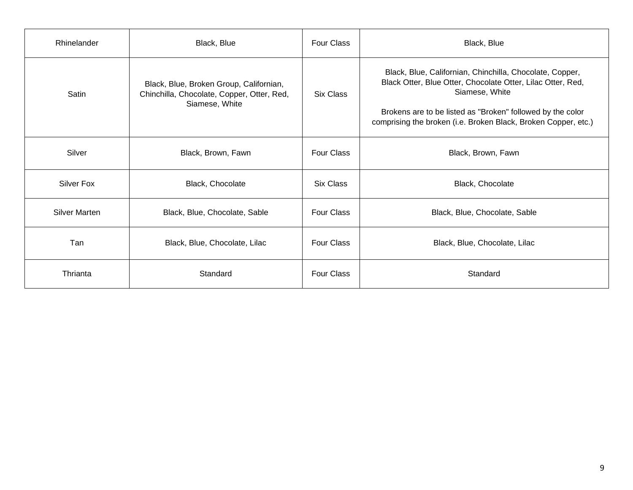| Rhinelander          | Black, Blue                                                                                             | <b>Four Class</b> | Black, Blue                                                                                                                                                                                                                                                               |
|----------------------|---------------------------------------------------------------------------------------------------------|-------------------|---------------------------------------------------------------------------------------------------------------------------------------------------------------------------------------------------------------------------------------------------------------------------|
| Satin                | Black, Blue, Broken Group, Californian,<br>Chinchilla, Chocolate, Copper, Otter, Red,<br>Siamese, White | Six Class         | Black, Blue, Californian, Chinchilla, Chocolate, Copper,<br>Black Otter, Blue Otter, Chocolate Otter, Lilac Otter, Red,<br>Siamese, White<br>Brokens are to be listed as "Broken" followed by the color<br>comprising the broken (i.e. Broken Black, Broken Copper, etc.) |
| Silver               | Black, Brown, Fawn                                                                                      | <b>Four Class</b> | Black, Brown, Fawn                                                                                                                                                                                                                                                        |
| <b>Silver Fox</b>    | Black, Chocolate                                                                                        | <b>Six Class</b>  | Black, Chocolate                                                                                                                                                                                                                                                          |
| <b>Silver Marten</b> | Black, Blue, Chocolate, Sable                                                                           |                   | Black, Blue, Chocolate, Sable                                                                                                                                                                                                                                             |
| Tan                  | Black, Blue, Chocolate, Lilac                                                                           |                   | Black, Blue, Chocolate, Lilac                                                                                                                                                                                                                                             |
| Thrianta             | Standard                                                                                                |                   | Standard                                                                                                                                                                                                                                                                  |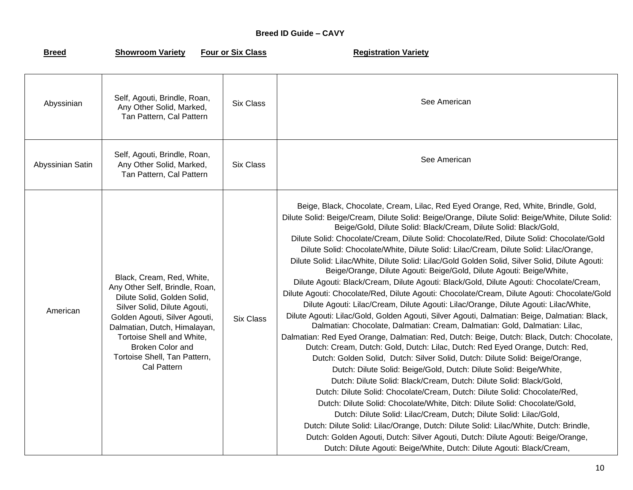## **Breed ID Guide – CAVY**

**Rightary Showroom Variety Four or Six Class Registration Variety** 

| Abyssinian       | Self, Agouti, Brindle, Roan,<br>Any Other Solid, Marked,<br>Tan Pattern, Cal Pattern                                                                                                                                                                                                        | <b>Six Class</b> | See American                                                                                                                                                                                                                                                                                                                                                                                                                                                                                                                                                                                                                                                                                                                                                                                                                                                                                                                                                                                                                                                                                                                                                                                                                                                                                                                                                                                                                                                                                                                                                                                                                                                                                                                                                                                                                                                                                                                                                                          |
|------------------|---------------------------------------------------------------------------------------------------------------------------------------------------------------------------------------------------------------------------------------------------------------------------------------------|------------------|---------------------------------------------------------------------------------------------------------------------------------------------------------------------------------------------------------------------------------------------------------------------------------------------------------------------------------------------------------------------------------------------------------------------------------------------------------------------------------------------------------------------------------------------------------------------------------------------------------------------------------------------------------------------------------------------------------------------------------------------------------------------------------------------------------------------------------------------------------------------------------------------------------------------------------------------------------------------------------------------------------------------------------------------------------------------------------------------------------------------------------------------------------------------------------------------------------------------------------------------------------------------------------------------------------------------------------------------------------------------------------------------------------------------------------------------------------------------------------------------------------------------------------------------------------------------------------------------------------------------------------------------------------------------------------------------------------------------------------------------------------------------------------------------------------------------------------------------------------------------------------------------------------------------------------------------------------------------------------------|
| Abyssinian Satin | Self, Agouti, Brindle, Roan,<br>Any Other Solid, Marked,<br>Tan Pattern, Cal Pattern                                                                                                                                                                                                        | <b>Six Class</b> | See American                                                                                                                                                                                                                                                                                                                                                                                                                                                                                                                                                                                                                                                                                                                                                                                                                                                                                                                                                                                                                                                                                                                                                                                                                                                                                                                                                                                                                                                                                                                                                                                                                                                                                                                                                                                                                                                                                                                                                                          |
| American         | Black, Cream, Red, White,<br>Any Other Self, Brindle, Roan,<br>Dilute Solid, Golden Solid,<br>Silver Solid, Dilute Agouti,<br>Golden Agouti, Silver Agouti,<br>Dalmatian, Dutch, Himalayan,<br>Tortoise Shell and White,<br>Broken Color and<br>Tortoise Shell, Tan Pattern,<br>Cal Pattern | <b>Six Class</b> | Beige, Black, Chocolate, Cream, Lilac, Red Eyed Orange, Red, White, Brindle, Gold,<br>Dilute Solid: Beige/Cream, Dilute Solid: Beige/Orange, Dilute Solid: Beige/White, Dilute Solid:<br>Beige/Gold, Dilute Solid: Black/Cream, Dilute Solid: Black/Gold,<br>Dilute Solid: Chocolate/Cream, Dilute Solid: Chocolate/Red, Dilute Solid: Chocolate/Gold<br>Dilute Solid: Chocolate/White, Dilute Solid: Lilac/Cream, Dilute Solid: Lilac/Orange,<br>Dilute Solid: Lilac/White, Dilute Solid: Lilac/Gold Golden Solid, Silver Solid, Dilute Agouti:<br>Beige/Orange, Dilute Agouti: Beige/Gold, Dilute Agouti: Beige/White,<br>Dilute Agouti: Black/Cream, Dilute Agouti: Black/Gold, Dilute Agouti: Chocolate/Cream,<br>Dilute Agouti: Chocolate/Red, Dilute Agouti: Chocolate/Cream, Dilute Agouti: Chocolate/Gold<br>Dilute Agouti: Lilac/Cream, Dilute Agouti: Lilac/Orange, Dilute Agouti: Lilac/White,<br>Dilute Agouti: Lilac/Gold, Golden Agouti, Silver Agouti, Dalmatian: Beige, Dalmatian: Black,<br>Dalmatian: Chocolate, Dalmatian: Cream, Dalmatian: Gold, Dalmatian: Lilac,<br>Dalmatian: Red Eyed Orange, Dalmatian: Red, Dutch: Beige, Dutch: Black, Dutch: Chocolate,<br>Dutch: Cream, Dutch: Gold, Dutch: Lilac, Dutch: Red Eyed Orange, Dutch: Red,<br>Dutch: Golden Solid, Dutch: Silver Solid, Dutch: Dilute Solid: Beige/Orange,<br>Dutch: Dilute Solid: Beige/Gold, Dutch: Dilute Solid: Beige/White,<br>Dutch: Dilute Solid: Black/Cream, Dutch: Dilute Solid: Black/Gold,<br>Dutch: Dilute Solid: Chocolate/Cream, Dutch: Dilute Solid: Chocolate/Red,<br>Dutch: Dilute Solid: Chocolate/White, Ditch: Dilute Solid: Chocolate/Gold,<br>Dutch: Dilute Solid: Lilac/Cream, Dutch; Dilute Solid: Lilac/Gold,<br>Dutch: Dilute Solid: Lilac/Orange, Dutch: Dilute Solid: Lilac/White, Dutch: Brindle,<br>Dutch: Golden Agouti, Dutch: Silver Agouti, Dutch: Dilute Agouti: Beige/Orange,<br>Dutch: Dilute Agouti: Beige/White, Dutch: Dilute Agouti: Black/Cream, |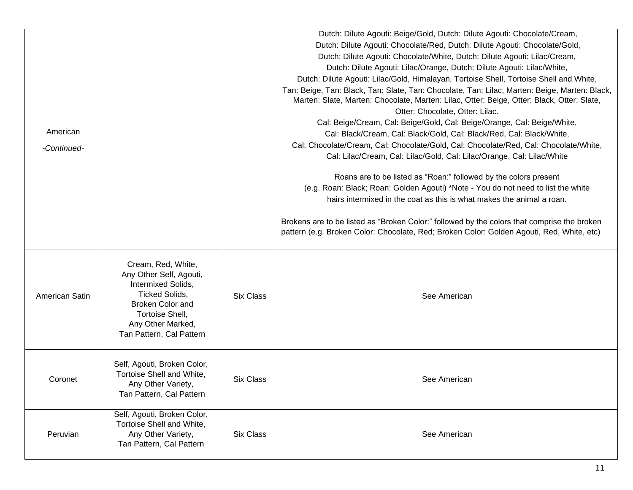|                |                                                                                                                                                                                      |                  | Dutch: Dilute Agouti: Beige/Gold, Dutch: Dilute Agouti: Chocolate/Cream,                                                                                                                                                                                                                                                                                                          |
|----------------|--------------------------------------------------------------------------------------------------------------------------------------------------------------------------------------|------------------|-----------------------------------------------------------------------------------------------------------------------------------------------------------------------------------------------------------------------------------------------------------------------------------------------------------------------------------------------------------------------------------|
|                |                                                                                                                                                                                      |                  | Dutch: Dilute Agouti: Chocolate/Red, Dutch: Dilute Agouti: Chocolate/Gold,                                                                                                                                                                                                                                                                                                        |
|                |                                                                                                                                                                                      |                  | Dutch: Dilute Agouti: Chocolate/White, Dutch: Dilute Agouti: Lilac/Cream,                                                                                                                                                                                                                                                                                                         |
|                |                                                                                                                                                                                      |                  | Dutch: Dilute Agouti: Lilac/Orange, Dutch: Dilute Agouti: Lilac/White,                                                                                                                                                                                                                                                                                                            |
|                |                                                                                                                                                                                      |                  | Dutch: Dilute Agouti: Lilac/Gold, Himalayan, Tortoise Shell, Tortoise Shell and White,                                                                                                                                                                                                                                                                                            |
| American       |                                                                                                                                                                                      |                  | Tan: Beige, Tan: Black, Tan: Slate, Tan: Chocolate, Tan: Lilac, Marten: Beige, Marten: Black,<br>Marten: Slate, Marten: Chocolate, Marten: Lilac, Otter: Beige, Otter: Black, Otter: Slate,<br>Otter: Chocolate, Otter: Lilac.<br>Cal: Beige/Cream, Cal: Beige/Gold, Cal: Beige/Orange, Cal: Beige/White,<br>Cal: Black/Cream, Cal: Black/Gold, Cal: Black/Red, Cal: Black/White, |
| -Continued-    |                                                                                                                                                                                      |                  | Cal: Chocolate/Cream, Cal: Chocolate/Gold, Cal: Chocolate/Red, Cal: Chocolate/White,                                                                                                                                                                                                                                                                                              |
|                |                                                                                                                                                                                      |                  | Cal: Lilac/Cream, Cal: Lilac/Gold, Cal: Lilac/Orange, Cal: Lilac/White                                                                                                                                                                                                                                                                                                            |
|                |                                                                                                                                                                                      |                  | Roans are to be listed as "Roan:" followed by the colors present<br>(e.g. Roan: Black; Roan: Golden Agouti) *Note - You do not need to list the white<br>hairs intermixed in the coat as this is what makes the animal a roan.                                                                                                                                                    |
|                |                                                                                                                                                                                      |                  | Brokens are to be listed as "Broken Color:" followed by the colors that comprise the broken<br>pattern (e.g. Broken Color: Chocolate, Red; Broken Color: Golden Agouti, Red, White, etc)                                                                                                                                                                                          |
| American Satin | Cream, Red, White,<br>Any Other Self, Agouti,<br>Intermixed Solids,<br>Ticked Solids,<br><b>Broken Color and</b><br>Tortoise Shell,<br>Any Other Marked,<br>Tan Pattern, Cal Pattern | <b>Six Class</b> | See American                                                                                                                                                                                                                                                                                                                                                                      |
| Coronet        | Self, Agouti, Broken Color,<br>Tortoise Shell and White,<br>Any Other Variety,<br>Tan Pattern, Cal Pattern                                                                           | <b>Six Class</b> | See American                                                                                                                                                                                                                                                                                                                                                                      |
| Peruvian       | Self, Agouti, Broken Color,<br>Tortoise Shell and White,<br>Any Other Variety,<br>Tan Pattern, Cal Pattern                                                                           | <b>Six Class</b> | See American                                                                                                                                                                                                                                                                                                                                                                      |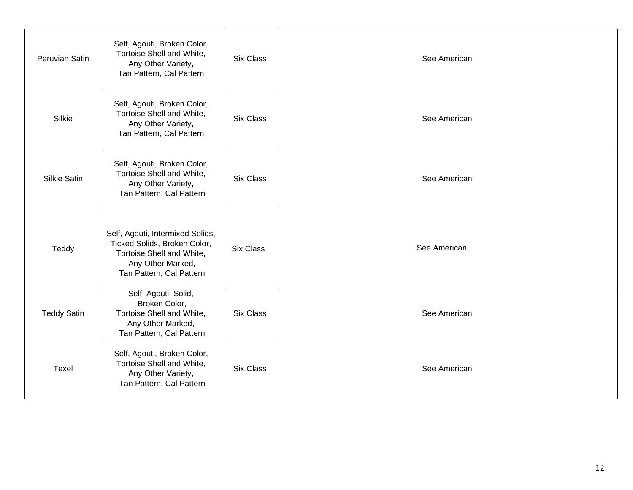| Peruvian Satin      | Self, Agouti, Broken Color,<br>Tortoise Shell and White,<br>Any Other Variety,<br>Tan Pattern, Cal Pattern                                     | <b>Six Class</b> | See American |
|---------------------|------------------------------------------------------------------------------------------------------------------------------------------------|------------------|--------------|
| Silkie              | Self, Agouti, Broken Color,<br>Tortoise Shell and White,<br>Any Other Variety,<br>Tan Pattern, Cal Pattern                                     | <b>Six Class</b> | See American |
| <b>Silkie Satin</b> | Self, Agouti, Broken Color,<br>Tortoise Shell and White,<br>Any Other Variety,<br>Tan Pattern, Cal Pattern                                     | <b>Six Class</b> | See American |
| Teddy               | Self, Agouti, Intermixed Solids,<br>Ticked Solids, Broken Color,<br>Tortoise Shell and White,<br>Any Other Marked,<br>Tan Pattern, Cal Pattern | <b>Six Class</b> | See American |
| <b>Teddy Satin</b>  | Self, Agouti, Solid,<br>Broken Color,<br>Tortoise Shell and White,<br>Any Other Marked,<br>Tan Pattern, Cal Pattern                            | <b>Six Class</b> | See American |
| Texel               | Self, Agouti, Broken Color,<br>Tortoise Shell and White,<br>Any Other Variety,<br>Tan Pattern, Cal Pattern                                     | <b>Six Class</b> | See American |